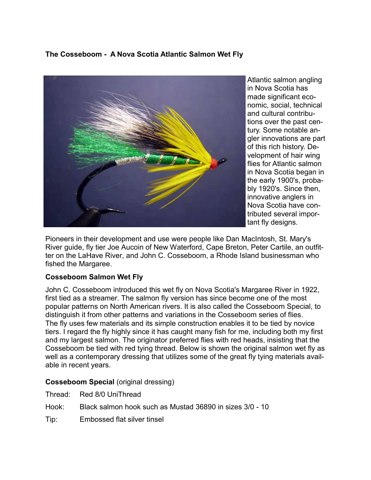## **The Cosseboom - A Nova Scotia Atlantic Salmon Wet Fly**



Atlantic salmon angling in Nova Scotia has made significant economic, social, technical and cultural contributions over the past century. Some notable angler innovations are part of this rich history. Development of hair wing flies for Atlantic salmon in Nova Scotia began in the early 1900's, probably 1920's. Since then, innovative anglers in Nova Scotia have contributed several important fly designs.

Pioneers in their development and use were people like Dan MacIntosh, St. Mary's River guide, fly tier Joe Aucoin of New Waterford, Cape Breton, Peter Cartile, an outfitter on the LaHave River, and John C. Cosseboom, a Rhode Island businessman who fished the Margaree.

## **Cosseboom Salmon Wet Fly**

John C. Cosseboom introduced this wet fly on Nova Scotia's Margaree River in 1922, first tied as a streamer. The salmon fly version has since become one of the most popular patterns on North American rivers. It is also called the Cosseboom Special, to distinguish it from other patterns and variations in the Cosseboom series of flies. The fly uses few materials and its simple construction enables it to be tied by novice tiers. I regard the fly highly since it has caught many fish for me, including both my first and my largest salmon. The originator preferred flies with red heads, insisting that the Cosseboom be tied with red tying thread. Below is shown the original salmon wet fly as well as a contemporary dressing that utilizes some of the great fly tying materials available in recent years.

## **Cosseboom Special** (original dressing)

| Thread: |  | Red 8/0 UniThread |
|---------|--|-------------------|
|---------|--|-------------------|

- Hook: Black salmon hook such as Mustad 36890 in sizes 3/0 10
- Tip: Embossed flat silver tinsel